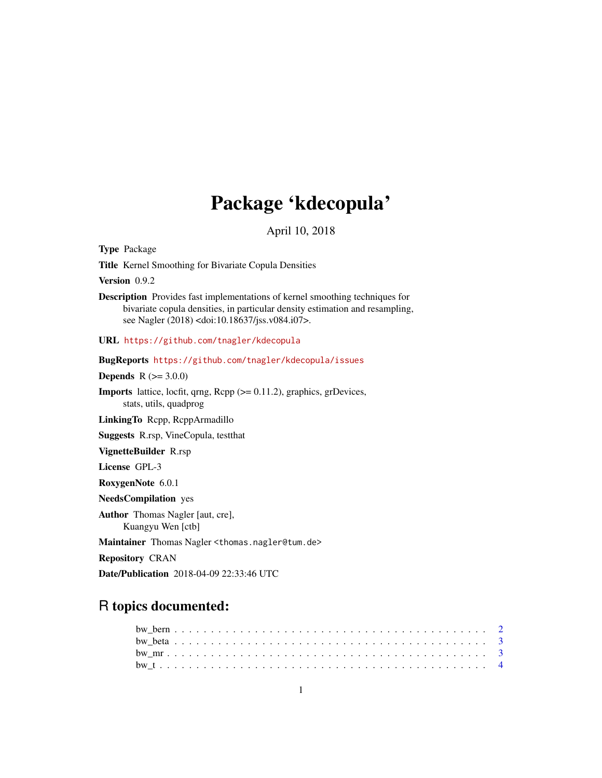# Package 'kdecopula'

April 10, 2018

<span id="page-0-0"></span>Type Package

Title Kernel Smoothing for Bivariate Copula Densities

Version 0.9.2

Description Provides fast implementations of kernel smoothing techniques for bivariate copula densities, in particular density estimation and resampling, see Nagler (2018) <doi:10.18637/jss.v084.i07>.

URL <https://github.com/tnagler/kdecopula>

BugReports <https://github.com/tnagler/kdecopula/issues>

**Depends** R  $(>= 3.0.0)$ 

**Imports** lattice, locfit, qrng,  $\text{Rcpp} (> = 0.11.2)$ , graphics, grDevices, stats, utils, quadprog

LinkingTo Rcpp, RcppArmadillo

Suggests R.rsp, VineCopula, testthat

VignetteBuilder R.rsp

License GPL-3

RoxygenNote 6.0.1

NeedsCompilation yes

Author Thomas Nagler [aut, cre], Kuangyu Wen [ctb]

Maintainer Thomas Nagler <thomas.nagler@tum.de>

Repository CRAN

Date/Publication 2018-04-09 22:33:46 UTC

# R topics documented: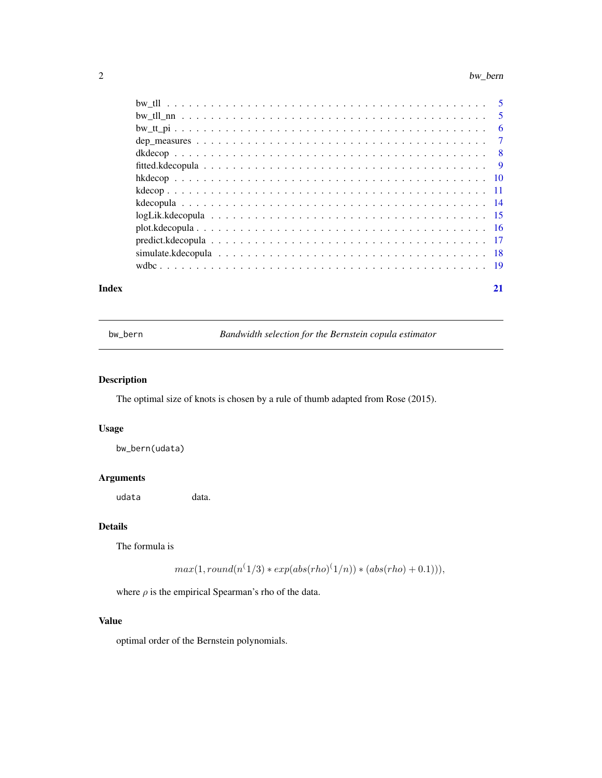#### <span id="page-1-0"></span> $2$  bw\_bern

| Index | 21 |
|-------|----|

<span id="page-1-1"></span>bw\_bern *Bandwidth selection for the Bernstein copula estimator*

# Description

The optimal size of knots is chosen by a rule of thumb adapted from Rose (2015).

# Usage

bw\_bern(udata)

# Arguments

udata data.

# Details

The formula is

 $max(1, round(n^{(1/3)} * exp(abs(rho)^{(1/n)}) * (abs(rho) + 0.1))),$ 

where  $\rho$  is the empirical Spearman's rho of the data.

# Value

optimal order of the Bernstein polynomials.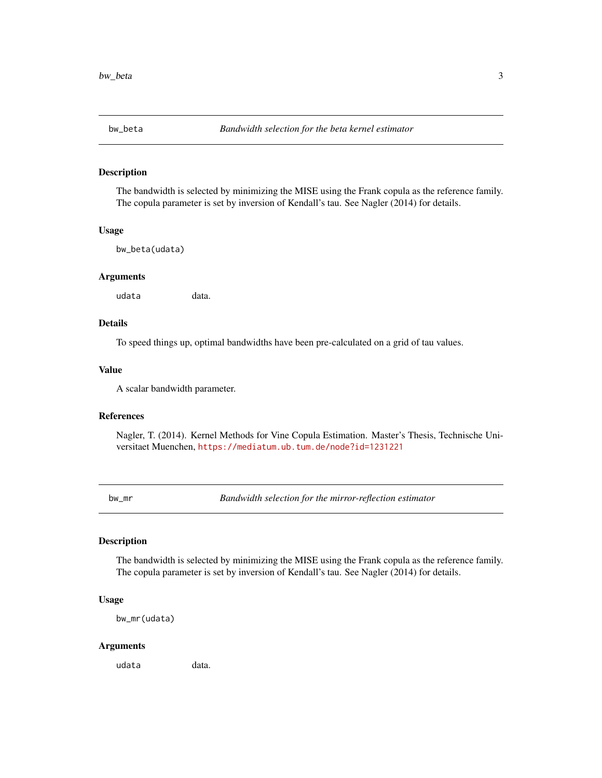<span id="page-2-2"></span><span id="page-2-0"></span>

# Description

The bandwidth is selected by minimizing the MISE using the Frank copula as the reference family. The copula parameter is set by inversion of Kendall's tau. See Nagler (2014) for details.

#### Usage

bw\_beta(udata)

#### Arguments

udata data.

# Details

To speed things up, optimal bandwidths have been pre-calculated on a grid of tau values.

#### Value

A scalar bandwidth parameter.

# References

Nagler, T. (2014). Kernel Methods for Vine Copula Estimation. Master's Thesis, Technische Universitaet Muenchen, <https://mediatum.ub.tum.de/node?id=1231221>

<span id="page-2-1"></span>bw\_mr *Bandwidth selection for the mirror-reflection estimator*

#### Description

The bandwidth is selected by minimizing the MISE using the Frank copula as the reference family. The copula parameter is set by inversion of Kendall's tau. See Nagler (2014) for details.

# Usage

bw\_mr(udata)

#### Arguments

udata data.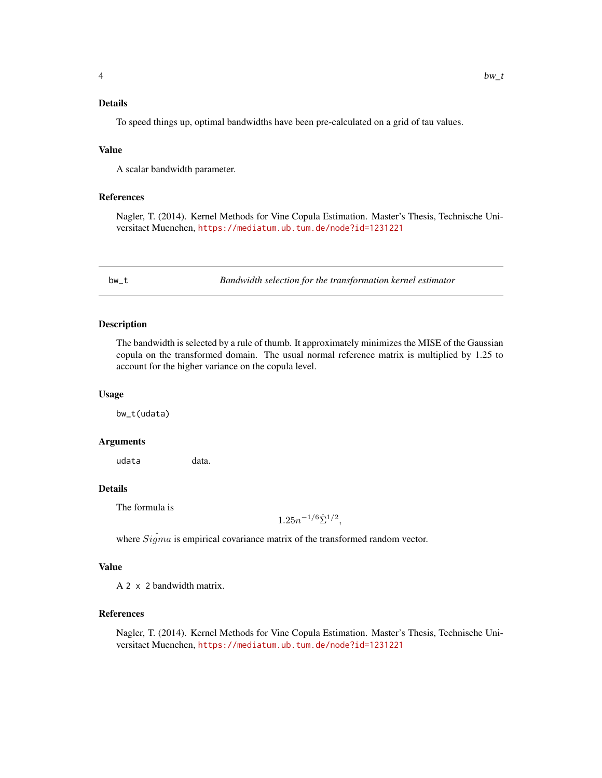# <span id="page-3-0"></span>Details

To speed things up, optimal bandwidths have been pre-calculated on a grid of tau values.

#### Value

A scalar bandwidth parameter.

#### References

Nagler, T. (2014). Kernel Methods for Vine Copula Estimation. Master's Thesis, Technische Universitaet Muenchen, <https://mediatum.ub.tum.de/node?id=1231221>

<span id="page-3-1"></span>bw\_t *Bandwidth selection for the transformation kernel estimator*

#### Description

The bandwidth is selected by a rule of thumb. It approximately minimizes the MISE of the Gaussian copula on the transformed domain. The usual normal reference matrix is multiplied by 1.25 to account for the higher variance on the copula level.

#### Usage

bw\_t(udata)

#### Arguments

udata data.

# Details

The formula is

 $1.25n^{-1/6}\hat{\Sigma}^{1/2},$ 

where  $Si\hat{g}ma$  is empirical covariance matrix of the transformed random vector.

# Value

A 2 x 2 bandwidth matrix.

#### References

Nagler, T. (2014). Kernel Methods for Vine Copula Estimation. Master's Thesis, Technische Universitaet Muenchen, <https://mediatum.ub.tum.de/node?id=1231221>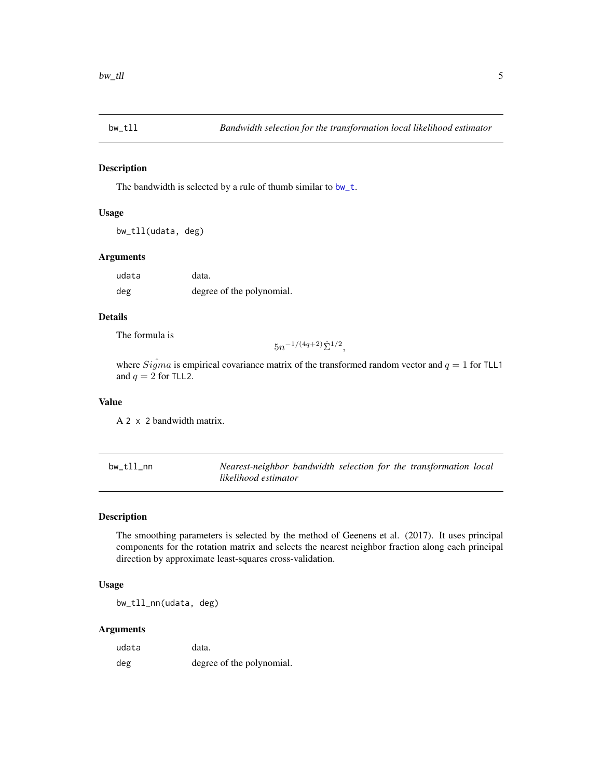<span id="page-4-1"></span><span id="page-4-0"></span>

#### Description

The bandwidth is selected by a rule of thumb similar to [bw\\_t](#page-3-1).

#### Usage

```
bw_tll(udata, deg)
```
#### Arguments

udata data. deg degree of the polynomial.

# Details

The formula is

 $5n^{-1/(4q+2)}\hat{\Sigma}^{1/2},$ 

where  $\hat{Sigma}$  is empirical covariance matrix of the transformed random vector and  $q = 1$  for TLL1 and  $q = 2$  for TLL2.

# Value

A 2 x 2 bandwidth matrix.

<span id="page-4-2"></span>bw\_tll\_nn *Nearest-neighbor bandwidth selection for the transformation local likelihood estimator*

#### Description

The smoothing parameters is selected by the method of Geenens et al. (2017). It uses principal components for the rotation matrix and selects the nearest neighbor fraction along each principal direction by approximate least-squares cross-validation.

# Usage

bw\_tll\_nn(udata, deg)

# Arguments

| udata | data.                     |
|-------|---------------------------|
| deg   | degree of the polynomial. |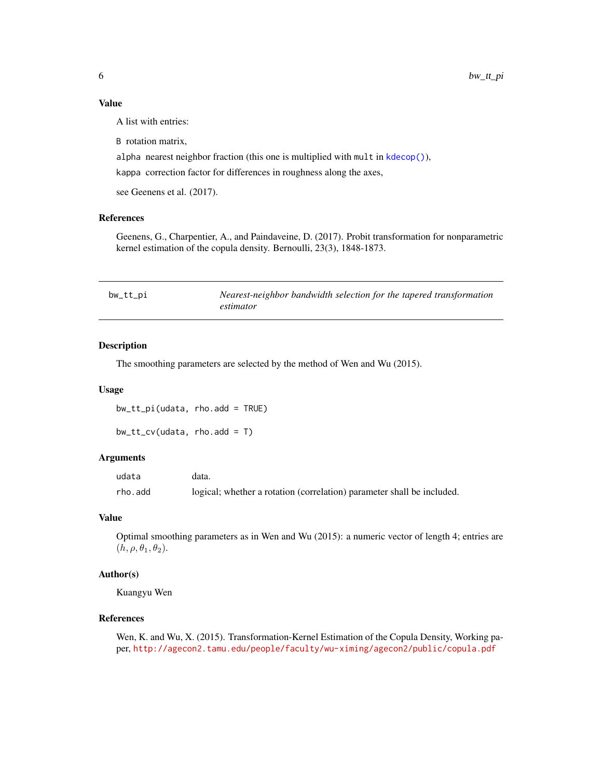# <span id="page-5-0"></span>Value

A list with entries:

B rotation matrix,

alpha nearest neighbor fraction (this one is multiplied with mult in [kdecop\(\)](#page-10-1)),

kappa correction factor for differences in roughness along the axes,

see Geenens et al. (2017).

#### References

Geenens, G., Charpentier, A., and Paindaveine, D. (2017). Probit transformation for nonparametric kernel estimation of the copula density. Bernoulli, 23(3), 1848-1873.

<span id="page-5-1"></span>

| bw_tt_pi | Nearest-neighbor bandwidth selection for the tapered transformation |
|----------|---------------------------------------------------------------------|
|          | estimator                                                           |

# <span id="page-5-2"></span>Description

The smoothing parameters are selected by the method of Wen and Wu (2015).

#### Usage

bw\_tt\_pi(udata, rho.add = TRUE)

bw\_tt\_cv(udata, rho.add = T)

#### Arguments

| udata   | data.                                                                  |
|---------|------------------------------------------------------------------------|
| rho.add | logical; whether a rotation (correlation) parameter shall be included. |

# Value

Optimal smoothing parameters as in Wen and Wu (2015): a numeric vector of length 4; entries are  $(h, \rho, \theta_1, \theta_2).$ 

# Author(s)

Kuangyu Wen

# References

Wen, K. and Wu, X. (2015). Transformation-Kernel Estimation of the Copula Density, Working paper, <http://agecon2.tamu.edu/people/faculty/wu-ximing/agecon2/public/copula.pdf>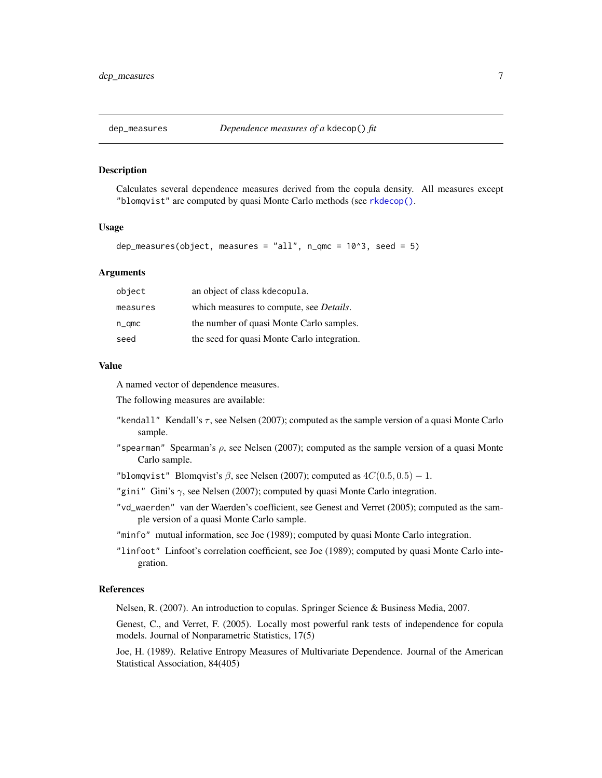<span id="page-6-0"></span>

#### Description

Calculates several dependence measures derived from the copula density. All measures except "blomqvist" are computed by quasi Monte Carlo methods (see [rkdecop\(\)](#page-7-1).

#### Usage

```
dep_measures(object, measures = "all", n_{\text{enc}} = 10^3, seed = 5)
```
#### Arguments

| object        | an object of class kdecopula.                   |
|---------------|-------------------------------------------------|
| measures      | which measures to compute, see <i>Details</i> . |
| $n_{\rm qmc}$ | the number of quasi Monte Carlo samples.        |
| seed          | the seed for quasi Monte Carlo integration.     |

#### Value

A named vector of dependence measures.

The following measures are available:

- "kendall" Kendall's  $\tau$ , see Nelsen (2007); computed as the sample version of a quasi Monte Carlo sample.
- "spearman" Spearman's  $\rho$ , see Nelsen (2007); computed as the sample version of a quasi Monte Carlo sample.

"blomqvist" Blomqvist's  $\beta$ , see Nelsen (2007); computed as  $4C(0.5, 0.5) - 1$ .

- "gini" Gini's  $\gamma$ , see Nelsen (2007); computed by quasi Monte Carlo integration.
- "vd\_waerden" van der Waerden's coefficient, see Genest and Verret (2005); computed as the sample version of a quasi Monte Carlo sample.
- "minfo" mutual information, see Joe (1989); computed by quasi Monte Carlo integration.
- "linfoot" Linfoot's correlation coefficient, see Joe (1989); computed by quasi Monte Carlo integration.

# References

Nelsen, R. (2007). An introduction to copulas. Springer Science & Business Media, 2007.

Genest, C., and Verret, F. (2005). Locally most powerful rank tests of independence for copula models. Journal of Nonparametric Statistics, 17(5)

Joe, H. (1989). Relative Entropy Measures of Multivariate Dependence. Journal of the American Statistical Association, 84(405)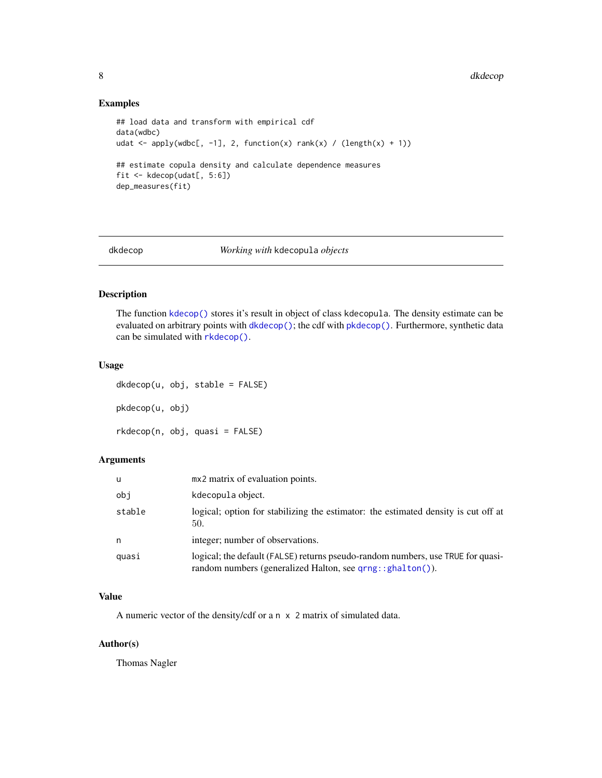# Examples

```
## load data and transform with empirical cdf
data(wdbc)
udat <- apply(wdbc[, -1], 2, function(x) rank(x) / (length(x) + 1))
## estimate copula density and calculate dependence measures
fit <- kdecop(udat[, 5:6])
dep_measures(fit)
```
<span id="page-7-2"></span>

#### dkdecop *Working with* kdecopula *objects*

#### <span id="page-7-1"></span>Description

The function [kdecop\(\)](#page-10-1) stores it's result in object of class kdecopula. The density estimate can be evaluated on arbitrary points with [dkdecop\(\)](#page-7-2); the cdf with [pkdecop\(\)](#page-7-1). Furthermore, synthetic data can be simulated with [rkdecop\(\)](#page-7-1).

#### Usage

dkdecop(u, obj, stable = FALSE) pkdecop(u, obj) rkdecop(n, obj, quasi = FALSE)

# Arguments

| u      | mx2 matrix of evaluation points.                                                                                                                     |
|--------|------------------------------------------------------------------------------------------------------------------------------------------------------|
| obi    | kdecopula object.                                                                                                                                    |
| stable | logical; option for stabilizing the estimator: the estimated density is cut off at<br>50.                                                            |
| n      | integer; number of observations.                                                                                                                     |
| quasi  | logical; the default (FALSE) returns pseudo-random numbers, use TRUE for quasi-<br>random numbers (generalized Halton, see $qrng$ : : $ghalton()$ ). |

#### Value

A numeric vector of the density/cdf or a n x 2 matrix of simulated data.

# Author(s)

Thomas Nagler

<span id="page-7-0"></span>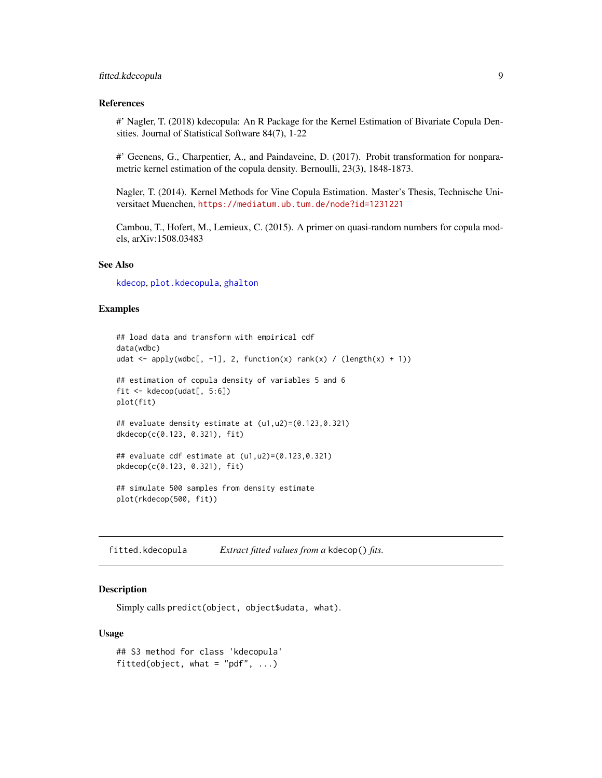# <span id="page-8-0"></span>fitted.kdecopula 9

#### References

#' Nagler, T. (2018) kdecopula: An R Package for the Kernel Estimation of Bivariate Copula Densities. Journal of Statistical Software 84(7), 1-22

#' Geenens, G., Charpentier, A., and Paindaveine, D. (2017). Probit transformation for nonparametric kernel estimation of the copula density. Bernoulli, 23(3), 1848-1873.

Nagler, T. (2014). Kernel Methods for Vine Copula Estimation. Master's Thesis, Technische Universitaet Muenchen, <https://mediatum.ub.tum.de/node?id=1231221>

Cambou, T., Hofert, M., Lemieux, C. (2015). A primer on quasi-random numbers for copula models, arXiv:1508.03483

# See Also

[kdecop](#page-10-1), [plot.kdecopula](#page-15-1), [ghalton](#page-0-0)

#### Examples

```
## load data and transform with empirical cdf
data(wdbc)
udat \leq apply(wdbc[, -1], 2, function(x) rank(x) / (length(x) + 1))
## estimation of copula density of variables 5 and 6
fit <- kdecop(udat[, 5:6])
plot(fit)
## evaluate density estimate at (u1,u2)=(0.123,0.321)
dkdecop(c(0.123, 0.321), fit)
## evaluate cdf estimate at (u1,u2)=(0.123,0.321)
pkdecop(c(0.123, 0.321), fit)
## simulate 500 samples from density estimate
plot(rkdecop(500, fit))
```
<span id="page-8-1"></span>fitted.kdecopula *Extract fitted values from a* kdecop() *fits.*

# Description

Simply calls predict(object, object\$udata, what).

#### Usage

```
## S3 method for class 'kdecopula'
fitted(object, what = "pdf", \ldots)
```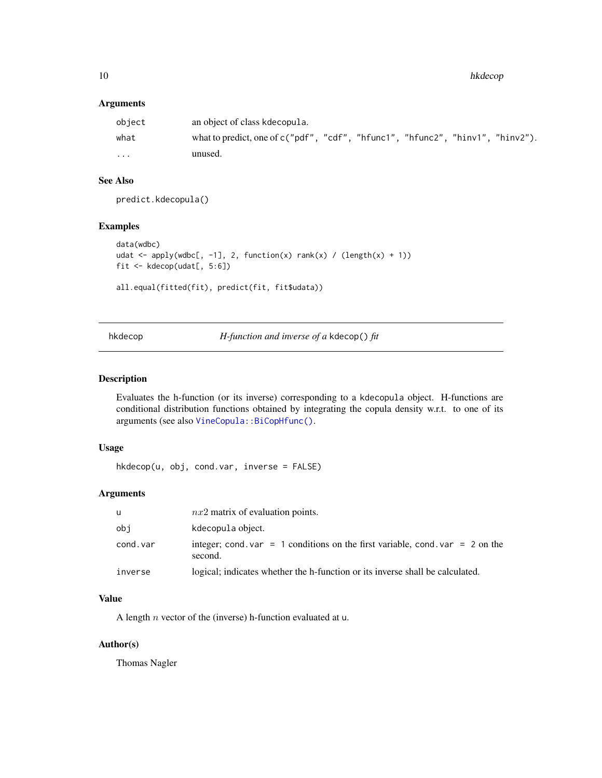<span id="page-9-0"></span>10 hkdecop

# Arguments

| object   | an object of class kdecopula.                                                    |
|----------|----------------------------------------------------------------------------------|
| what     | what to predict, one of $c("pdf", "cdf", "hfunc1", "hfunc2", "hinv1", "hinv2").$ |
| $\cdots$ | unused.                                                                          |

# See Also

predict.kdecopula()

# Examples

```
data(wdbc)
udat <- apply(wdbc[, -1], 2, function(x) rank(x) / (length(x) + 1))
fit <- kdecop(udat[, 5:6])
```

```
all.equal(fitted(fit), predict(fit, fit$udata))
```
hkdecop *H-function and inverse of a* kdecop() *fit*

# Description

Evaluates the h-function (or its inverse) corresponding to a kdecopula object. H-functions are conditional distribution functions obtained by integrating the copula density w.r.t. to one of its arguments (see also [VineCopula::BiCopHfunc\(\)](#page-0-0).

# Usage

hkdecop(u, obj, cond.var, inverse = FALSE)

# Arguments

| u        | $nx2$ matrix of evaluation points.                                                       |
|----------|------------------------------------------------------------------------------------------|
| obi      | kdecopula object.                                                                        |
| cond.var | integer; cond. var = 1 conditions on the first variable, cond. var = 2 on the<br>second. |
| inverse  | logical; indicates whether the h-function or its inverse shall be calculated.            |

# Value

A length  $n$  vector of the (inverse) h-function evaluated at u.

# Author(s)

Thomas Nagler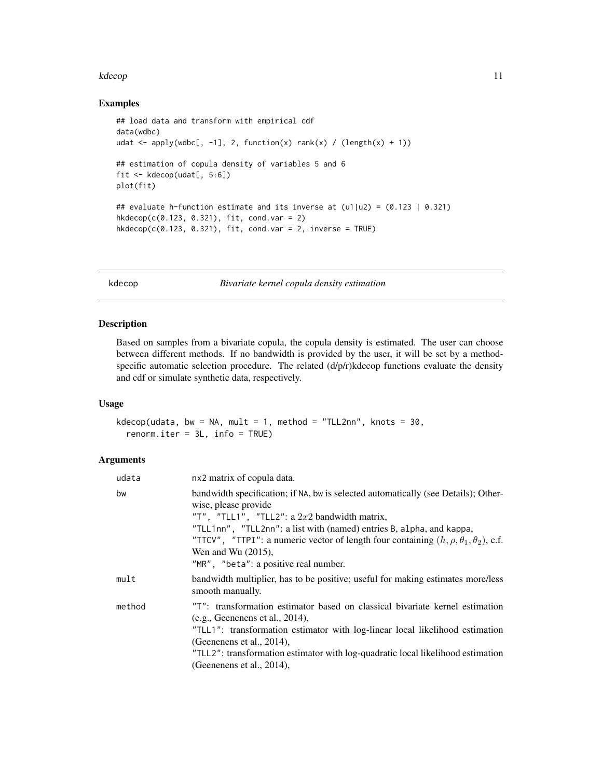#### <span id="page-10-0"></span>kdecop and the state of the state of the state of the state of the state of the state of the state of the state of the state of the state of the state of the state of the state of the state of the state of the state of the

# Examples

```
## load data and transform with empirical cdf
data(wdbc)
udat \leq apply(wdbc[, -1], 2, function(x) rank(x) / (length(x) + 1))
## estimation of copula density of variables 5 and 6
fit <- kdecop(udat[, 5:6])
plot(fit)
## evaluate h-function estimate and its inverse at (u1|u2) = (0.123 \mid 0.321)hkdecop(c(0.123, 0.321), fit, cond.var = 2)
hkdecop(c(0.123, 0.321), fit, cond.var = 2, inverse = TRUE)
```
kdecop *Bivariate kernel copula density estimation*

# Description

Based on samples from a bivariate copula, the copula density is estimated. The user can choose between different methods. If no bandwidth is provided by the user, it will be set by a methodspecific automatic selection procedure. The related (d/p/r)kdecop functions evaluate the density and cdf or simulate synthetic data, respectively.

# Usage

kdecop(udata, bw = NA, mult = 1, method = "TLL2nn", knots =  $30$ ,  $renorm.iter = 3L, info = TRUE$ 

# Arguments

| udata  | nx2 matrix of copula data.                                                                                                                                                                                                                                                                                                                                         |
|--------|--------------------------------------------------------------------------------------------------------------------------------------------------------------------------------------------------------------------------------------------------------------------------------------------------------------------------------------------------------------------|
| bw     | bandwidth specification; if NA, bw is selected automatically (see Details); Other-<br>wise, please provide<br>"T", "TLL1", "TLL2": a $2x2$ bandwidth matrix,<br>"TLL1nn", "TLL2nn": a list with (named) entries B, alpha, and kappa,<br>"TTCV", "TTPI": a numeric vector of length four containing $(h, \rho, \theta_1, \theta_2)$ , c.f.<br>Wen and Wu $(2015)$ , |
|        | "MR", "beta": a positive real number.                                                                                                                                                                                                                                                                                                                              |
| mult   | bandwidth multiplier, has to be positive; useful for making estimates more/less<br>smooth manually.                                                                                                                                                                                                                                                                |
| method | "T": transformation estimator based on classical bivariate kernel estimation<br>(e.g., Geeneness et al., 2014),<br>"TLL1": transformation estimator with log-linear local likelihood estimation<br>(Geenenens et al., 2014),                                                                                                                                       |
|        | "TLL2": transformation estimator with log-quadratic local likelihood estimation                                                                                                                                                                                                                                                                                    |
|        | (Geenenens et al., 2014),                                                                                                                                                                                                                                                                                                                                          |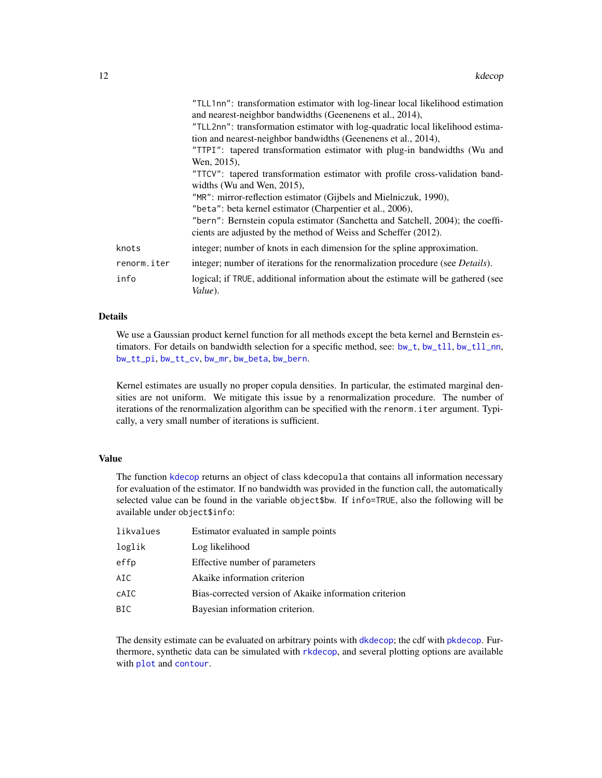<span id="page-11-0"></span>

|             | "TLL1nn": transformation estimator with log-linear local likelihood estimation               |
|-------------|----------------------------------------------------------------------------------------------|
|             | and nearest-neighbor bandwidths (Geenenens et al., 2014),                                    |
|             | "TLL2nn": transformation estimator with log-quadratic local likelihood estima-               |
|             | tion and nearest-neighbor bandwidths (Geenenens et al., 2014),                               |
|             | "TTPI": tapered transformation estimator with plug-in bandwidths (Wu and                     |
|             | Wen, 2015),                                                                                  |
|             | "TTCV": tapered transformation estimator with profile cross-validation band-                 |
|             | widths (Wu and Wen, 2015),                                                                   |
|             | "MR": mirror-reflection estimator (Gijbels and Mielniczuk, 1990),                            |
|             | "beta": beta kernel estimator (Charpentier et al., 2006),                                    |
|             | "bern": Bernstein copula estimator (Sanchetta and Satchell, 2004); the coeffi-               |
|             | cients are adjusted by the method of Weiss and Scheffer (2012).                              |
| knots       | integer; number of knots in each dimension for the spline approximation.                     |
| renorm.iter | integer; number of iterations for the renormalization procedure (see <i>Details</i> ).       |
| info        | logical; if TRUE, additional information about the estimate will be gathered (see<br>Value). |

#### Details

We use a Gaussian product kernel function for all methods except the beta kernel and Bernstein estimators. For details on bandwidth selection for a specific method, see: [bw\\_t](#page-3-1), [bw\\_tll](#page-4-1), [bw\\_tll\\_nn](#page-4-2), [bw\\_tt\\_pi](#page-5-1), [bw\\_tt\\_cv](#page-5-2), [bw\\_mr](#page-2-1), [bw\\_beta](#page-2-2), [bw\\_bern](#page-1-1).

Kernel estimates are usually no proper copula densities. In particular, the estimated marginal densities are not uniform. We mitigate this issue by a renormalization procedure. The number of iterations of the renormalization algorithm can be specified with the renorm.iter argument. Typically, a very small number of iterations is sufficient.

#### Value

The function [kdecop](#page-10-1) returns an object of class kdecopula that contains all information necessary for evaluation of the estimator. If no bandwidth was provided in the function call, the automatically selected value can be found in the variable object\$bw. If info=TRUE, also the following will be available under object\$info:

| likvalues | Estimator evaluated in sample points                   |
|-----------|--------------------------------------------------------|
| loglik    | Log likelihood                                         |
| effp      | Effective number of parameters                         |
| AIC       | Akaike information criterion                           |
| CAIC      | Bias-corrected version of Akaike information criterion |
| BIC       | Bayesian information criterion.                        |

The density estimate can be evaluated on arbitrary points with [dkdecop](#page-7-2); the cdf with [pkdecop](#page-7-1). Furthermore, synthetic data can be simulated with [rkdecop](#page-7-1), and several plotting options are available with [plot](#page-0-0) and [contour](#page-0-0).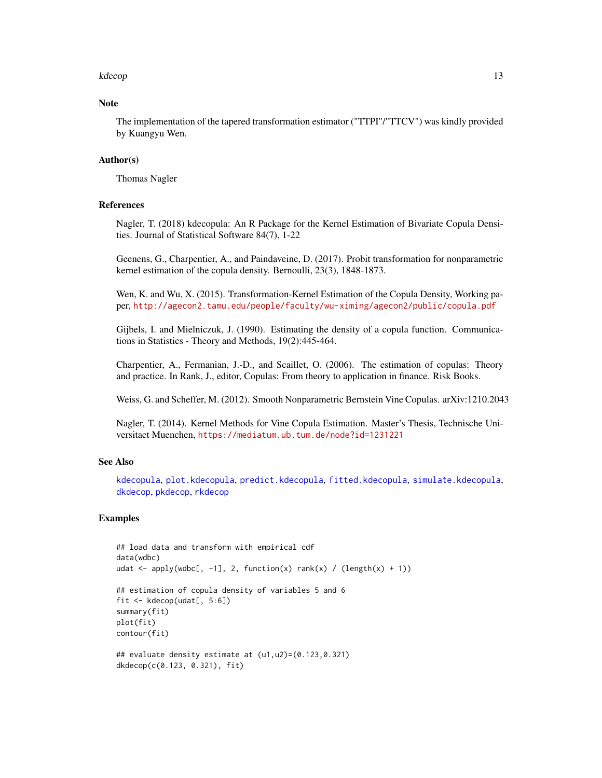#### <span id="page-12-0"></span>kdecop and the state of the state of the state of the state of the state of the state of the state of the state of the state of the state of the state of the state of the state of the state of the state of the state of the

#### **Note**

The implementation of the tapered transformation estimator ("TTPI"/"TTCV") was kindly provided by Kuangyu Wen.

# Author(s)

Thomas Nagler

# References

Nagler, T. (2018) kdecopula: An R Package for the Kernel Estimation of Bivariate Copula Densities. Journal of Statistical Software 84(7), 1-22

Geenens, G., Charpentier, A., and Paindaveine, D. (2017). Probit transformation for nonparametric kernel estimation of the copula density. Bernoulli, 23(3), 1848-1873.

Wen, K. and Wu, X. (2015). Transformation-Kernel Estimation of the Copula Density, Working paper, <http://agecon2.tamu.edu/people/faculty/wu-ximing/agecon2/public/copula.pdf>

Gijbels, I. and Mielniczuk, J. (1990). Estimating the density of a copula function. Communications in Statistics - Theory and Methods, 19(2):445-464.

Charpentier, A., Fermanian, J.-D., and Scaillet, O. (2006). The estimation of copulas: Theory and practice. In Rank, J., editor, Copulas: From theory to application in finance. Risk Books.

Weiss, G. and Scheffer, M. (2012). Smooth Nonparametric Bernstein Vine Copulas. arXiv:1210.2043

Nagler, T. (2014). Kernel Methods for Vine Copula Estimation. Master's Thesis, Technische Universitaet Muenchen, <https://mediatum.ub.tum.de/node?id=1231221>

#### See Also

[kdecopula](#page-13-1), [plot.kdecopula](#page-15-1), [predict.kdecopula](#page-16-1), [fitted.kdecopula](#page-8-1), [simulate.kdecopula](#page-17-1), [dkdecop](#page-7-2), [pkdecop](#page-7-1), [rkdecop](#page-7-1)

#### Examples

```
## load data and transform with empirical cdf
data(wdbc)
udat <- apply(wdbc[, -1], 2, function(x) rank(x) / (length(x) + 1))## estimation of copula density of variables 5 and 6
fit <- kdecop(udat[, 5:6])
summary(fit)
plot(fit)
contour(fit)
## evaluate density estimate at (u1,u2)=(0.123,0.321)
dkdecop(c(0.123, 0.321), fit)
```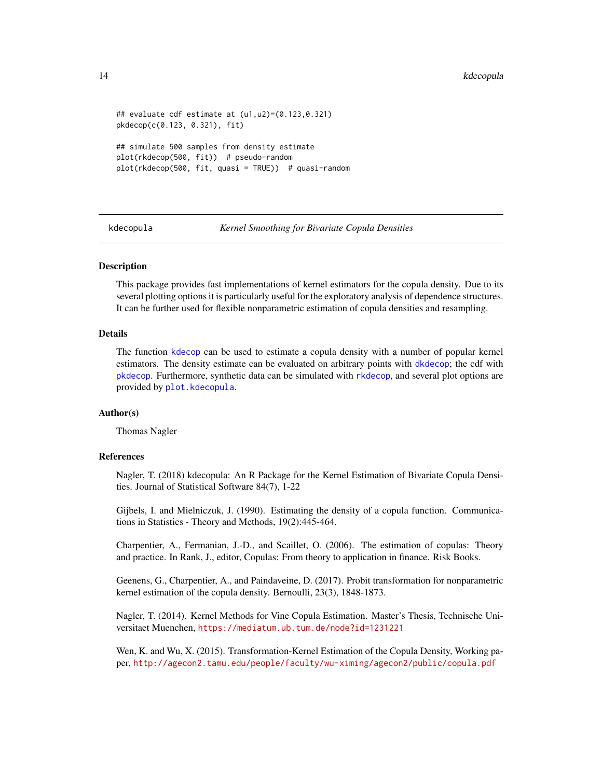```
## evaluate cdf estimate at (u1,u2)=(0.123,0.321)
pkdecop(c(0.123, 0.321), fit)
## simulate 500 samples from density estimate
plot(rkdecop(500, fit)) # pseudo-random
plot(rkdecop(500, fit, quasi = TRUE)) # quasi-random
```
<span id="page-13-1"></span>kdecopula *Kernel Smoothing for Bivariate Copula Densities*

# **Description**

This package provides fast implementations of kernel estimators for the copula density. Due to its several plotting options it is particularly useful for the exploratory analysis of dependence structures. It can be further used for flexible nonparametric estimation of copula densities and resampling.

#### Details

The function [kdecop](#page-10-1) can be used to estimate a copula density with a number of popular kernel estimators. The density estimate can be evaluated on arbitrary points with [dkdecop](#page-7-2); the cdf with [pkdecop](#page-7-1). Furthermore, synthetic data can be simulated with [rkdecop](#page-7-1), and several plot options are provided by [plot.kdecopula](#page-15-1).

# Author(s)

Thomas Nagler

#### **References**

Nagler, T. (2018) kdecopula: An R Package for the Kernel Estimation of Bivariate Copula Densities. Journal of Statistical Software 84(7), 1-22

Gijbels, I. and Mielniczuk, J. (1990). Estimating the density of a copula function. Communications in Statistics - Theory and Methods, 19(2):445-464.

Charpentier, A., Fermanian, J.-D., and Scaillet, O. (2006). The estimation of copulas: Theory and practice. In Rank, J., editor, Copulas: From theory to application in finance. Risk Books.

Geenens, G., Charpentier, A., and Paindaveine, D. (2017). Probit transformation for nonparametric kernel estimation of the copula density. Bernoulli, 23(3), 1848-1873.

Nagler, T. (2014). Kernel Methods for Vine Copula Estimation. Master's Thesis, Technische Universitaet Muenchen, <https://mediatum.ub.tum.de/node?id=1231221>

Wen, K. and Wu, X. (2015). Transformation-Kernel Estimation of the Copula Density, Working paper, <http://agecon2.tamu.edu/people/faculty/wu-ximing/agecon2/public/copula.pdf>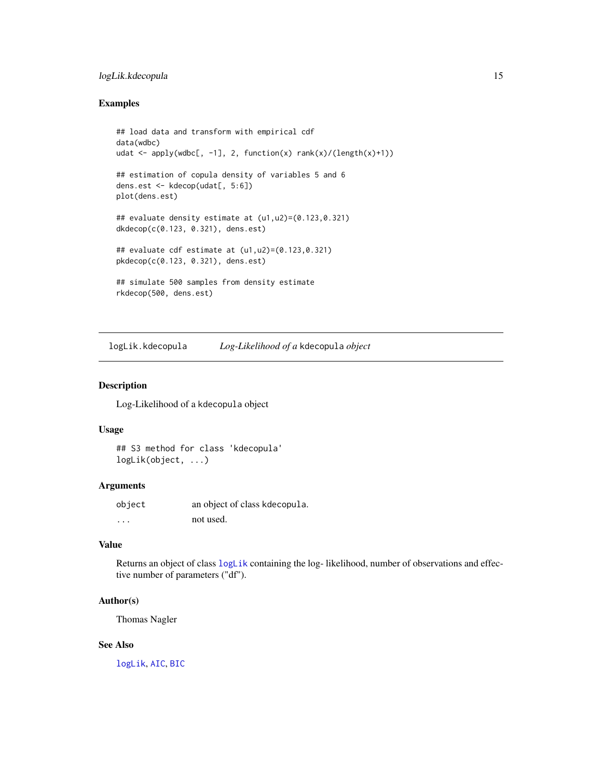# <span id="page-14-0"></span>logLik.kdecopula 15

# Examples

```
## load data and transform with empirical cdf
data(wdbc)
udat \leq apply(wdbc[, -1], 2, function(x) rank(x)/(length(x)+1))
## estimation of copula density of variables 5 and 6
dens.est <- kdecop(udat[, 5:6])
plot(dens.est)
## evaluate density estimate at (u1,u2)=(0.123,0.321)
dkdecop(c(0.123, 0.321), dens.est)
## evaluate cdf estimate at (u1,u2)=(0.123,0.321)
pkdecop(c(0.123, 0.321), dens.est)
## simulate 500 samples from density estimate
rkdecop(500, dens.est)
```
logLik.kdecopula *Log-Likelihood of a* kdecopula *object*

#### Description

Log-Likelihood of a kdecopula object

#### Usage

```
## S3 method for class 'kdecopula'
logLik(object, ...)
```
# Arguments

| object   | an object of class kdecopula. |
|----------|-------------------------------|
| $\cdots$ | not used.                     |

# Value

Returns an object of class [logLik](#page-0-0) containing the log- likelihood, number of observations and effective number of parameters ("df").

#### Author(s)

Thomas Nagler

#### See Also

[logLik](#page-0-0), [AIC](#page-0-0), [BIC](#page-0-0)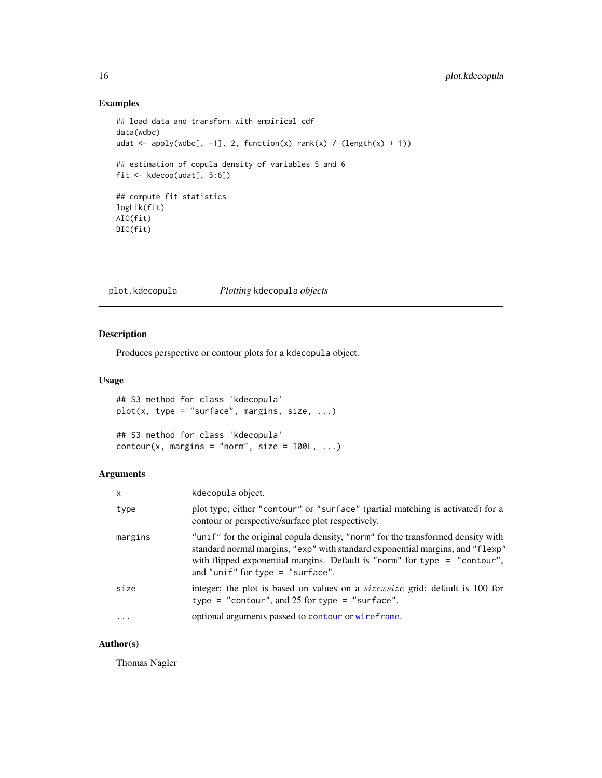# Examples

```
## load data and transform with empirical cdf
data(wdbc)
udat <- apply(wdbc[, -1], 2, function(x) rank(x) / (length(x) + 1))
## estimation of copula density of variables 5 and 6
fit <- kdecop(udat[, 5:6])
## compute fit statistics
logLik(fit)
AIC(fit)
BIC(fit)
```
<span id="page-15-1"></span>plot.kdecopula *Plotting* kdecopula *objects*

# Description

Produces perspective or contour plots for a kdecopula object.

# Usage

```
## S3 method for class 'kdecopula'
plot(x, type = "surface", margins, size, ...)
```

```
## S3 method for class 'kdecopula'
contour(x, margins = "norm", size = 100L, ...)
```
#### Arguments

| $\mathsf{x}$ | kdecopula object.                                                                                                                                                                                                                                                                     |
|--------------|---------------------------------------------------------------------------------------------------------------------------------------------------------------------------------------------------------------------------------------------------------------------------------------|
| type         | plot type; either "contour" or "surface" (partial matching is activated) for a<br>contour or perspective/surface plot respectively.                                                                                                                                                   |
| margins      | "unif" for the original copula density, "norm" for the transformed density with<br>standard normal margins, "exp" with standard exponential margins, and "flexp"<br>with flipped exponential margins. Default is "norm" for type $=$ "contour",<br>and "unif" for type $=$ "surface". |
| size         | integer; the plot is based on values on a <i>sizexsize</i> grid; default is 100 for<br>type = "contour", and 25 for type = "surface".                                                                                                                                                 |
| $\cdots$     | optional arguments passed to contour or wireframe.                                                                                                                                                                                                                                    |

# Author(s)

Thomas Nagler

<span id="page-15-0"></span>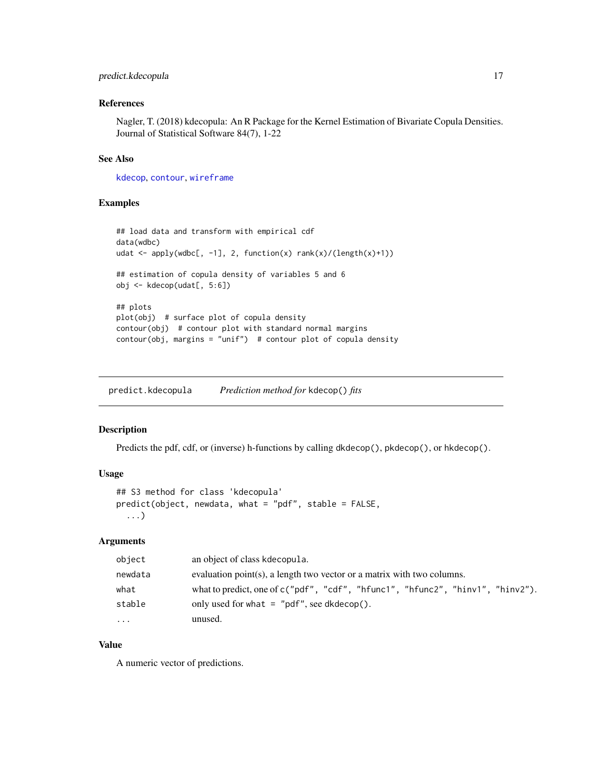# <span id="page-16-0"></span>predict.kdecopula 17

# References

Nagler, T. (2018) kdecopula: An R Package for the Kernel Estimation of Bivariate Copula Densities. Journal of Statistical Software 84(7), 1-22

# See Also

[kdecop](#page-10-1), [contour](#page-0-0), [wireframe](#page-0-0)

#### Examples

```
## load data and transform with empirical cdf
data(wdbc)
udat <- apply(wdbc[, -1], 2, function(x) rank(x)/(length(x)+1))
## estimation of copula density of variables 5 and 6
obj <- kdecop(udat[, 5:6])
## plots
plot(obj) # surface plot of copula density
contour(obj) # contour plot with standard normal margins
contour(obj, margins = "unif") # contour plot of copula density
```
<span id="page-16-1"></span>predict.kdecopula *Prediction method for* kdecop() *fits*

#### Description

Predicts the pdf, cdf, or (inverse) h-functions by calling dkdecop(), pkdecop(), or hkdecop().

### Usage

```
## S3 method for class 'kdecopula'
predict(object, newdata, what = "pdf", stable = FALSE,
  ...)
```
# Arguments

| object  | an object of class kdecopula.                                                  |
|---------|--------------------------------------------------------------------------------|
| newdata | evaluation point(s), a length two vector or a matrix with two columns.         |
| what    | what to predict, one of c("pdf", "cdf", "hfunc1", "hfunc2", "hinv1", "hinv2"). |
| stable  | only used for what $=$ "pdf", see dkdecop().                                   |
| $\cdot$ | unused.                                                                        |

# Value

A numeric vector of predictions.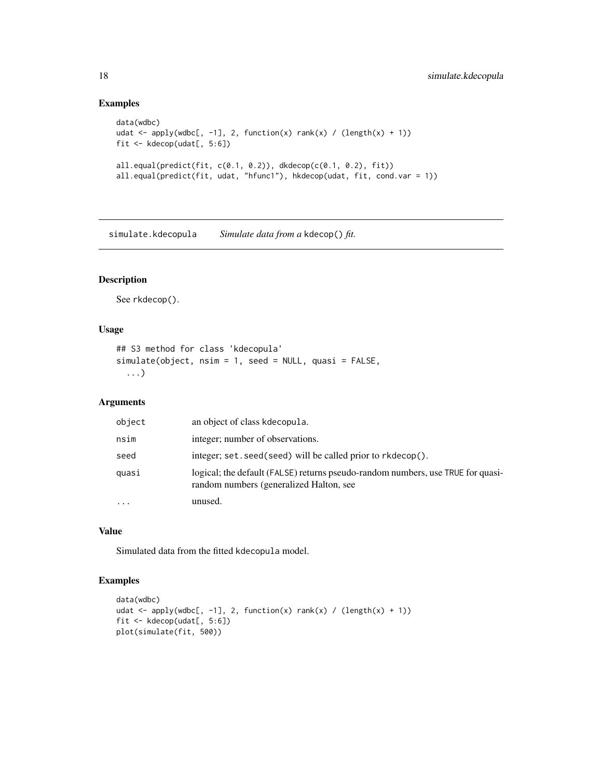# Examples

```
data(wdbc)
udat <- apply(wdbc[, -1], 2, function(x) rank(x) / (length(x) + 1))
fit <- kdecop(udat[, 5:6])
all.equal(predict(fit, c(0.1, 0.2)), dkdecop(c(0.1, 0.2), fit))
all.equal(predict(fit, udat, "hfunc1"), hkdecop(udat, fit, cond.var = 1))
```
<span id="page-17-1"></span>simulate.kdecopula *Simulate data from a* kdecop() *fit.*

# Description

See rkdecop().

# Usage

```
## S3 method for class 'kdecopula'
simulate(object, nsim = 1, seed = NULL, quasi = FALSE,
  ...)
```
# Arguments

| object    | an object of class kdecopula.                                                                                              |
|-----------|----------------------------------------------------------------------------------------------------------------------------|
| nsim      | integer; number of observations.                                                                                           |
| seed      | integer; set . seed (seed) will be called prior to rkdecop().                                                              |
| quasi     | logical; the default (FALSE) returns pseudo-random numbers, use TRUE for quasi-<br>random numbers (generalized Halton, see |
| $\ddotsc$ | unused.                                                                                                                    |

#### Value

Simulated data from the fitted kdecopula model.

# Examples

```
data(wdbc)
udat <- apply(wdbc[, -1], 2, function(x) rank(x) / (length(x) + 1))
fit <- kdecop(udat[, 5:6])
plot(simulate(fit, 500))
```
<span id="page-17-0"></span>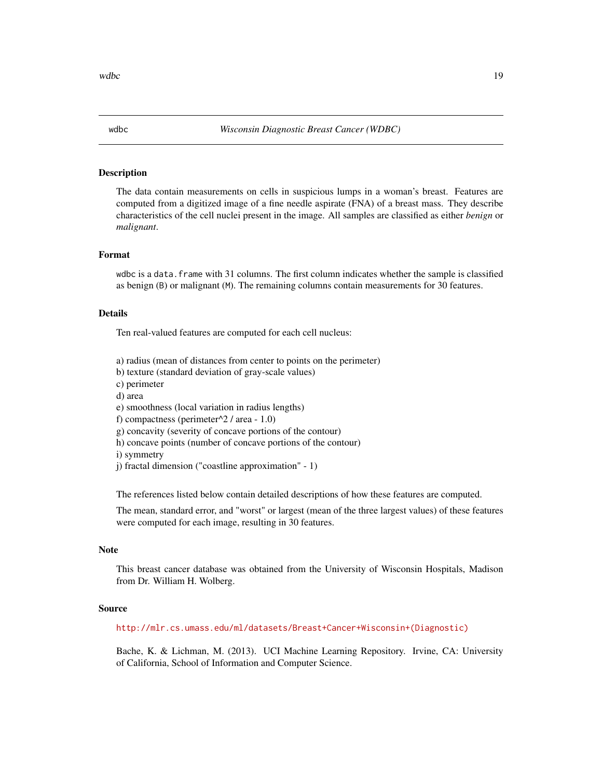<span id="page-18-0"></span>wdbc 19

#### Description

The data contain measurements on cells in suspicious lumps in a woman's breast. Features are computed from a digitized image of a fine needle aspirate (FNA) of a breast mass. They describe characteristics of the cell nuclei present in the image. All samples are classified as either *benign* or *malignant*.

# Format

wdbc is a data. frame with 31 columns. The first column indicates whether the sample is classified as benign (B) or malignant (M). The remaining columns contain measurements for 30 features.

#### Details

Ten real-valued features are computed for each cell nucleus:

- a) radius (mean of distances from center to points on the perimeter)
- b) texture (standard deviation of gray-scale values)
- c) perimeter
- d) area
- e) smoothness (local variation in radius lengths)
- f) compactness (perimeter $\frac{2}{4}$  area 1.0)
- g) concavity (severity of concave portions of the contour)
- h) concave points (number of concave portions of the contour)
- i) symmetry
- j) fractal dimension ("coastline approximation" 1)

The references listed below contain detailed descriptions of how these features are computed.

The mean, standard error, and "worst" or largest (mean of the three largest values) of these features were computed for each image, resulting in 30 features.

# Note

This breast cancer database was obtained from the University of Wisconsin Hospitals, Madison from Dr. William H. Wolberg.

# Source

[http://mlr.cs.umass.edu/ml/datasets/Breast+Cancer+Wisconsin+\(Diagnostic\)](http://mlr.cs.umass.edu/ml/datasets/Breast+Cancer+Wisconsin+(Diagnostic))

Bache, K. & Lichman, M. (2013). UCI Machine Learning Repository. Irvine, CA: University of California, School of Information and Computer Science.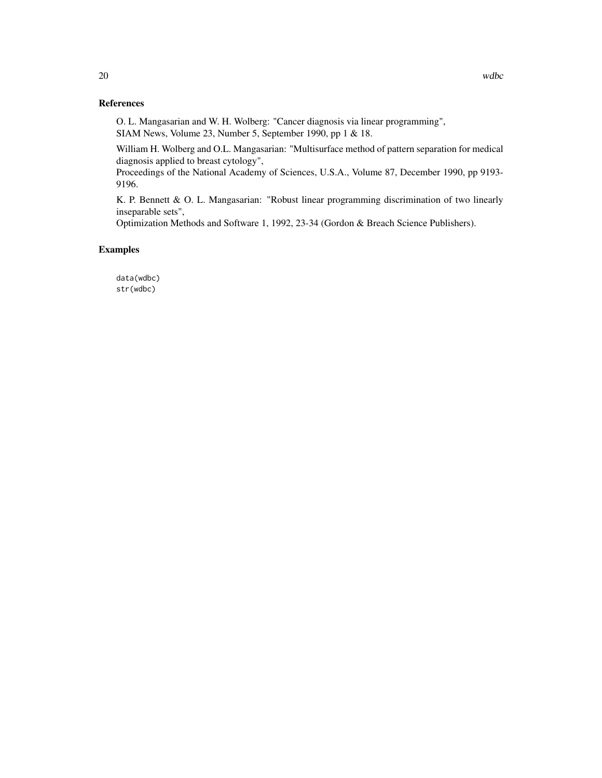# References

O. L. Mangasarian and W. H. Wolberg: "Cancer diagnosis via linear programming", SIAM News, Volume 23, Number 5, September 1990, pp 1 & 18.

William H. Wolberg and O.L. Mangasarian: "Multisurface method of pattern separation for medical diagnosis applied to breast cytology",

Proceedings of the National Academy of Sciences, U.S.A., Volume 87, December 1990, pp 9193- 9196.

K. P. Bennett & O. L. Mangasarian: "Robust linear programming discrimination of two linearly inseparable sets",

Optimization Methods and Software 1, 1992, 23-34 (Gordon & Breach Science Publishers).

# Examples

data(wdbc) str(wdbc)